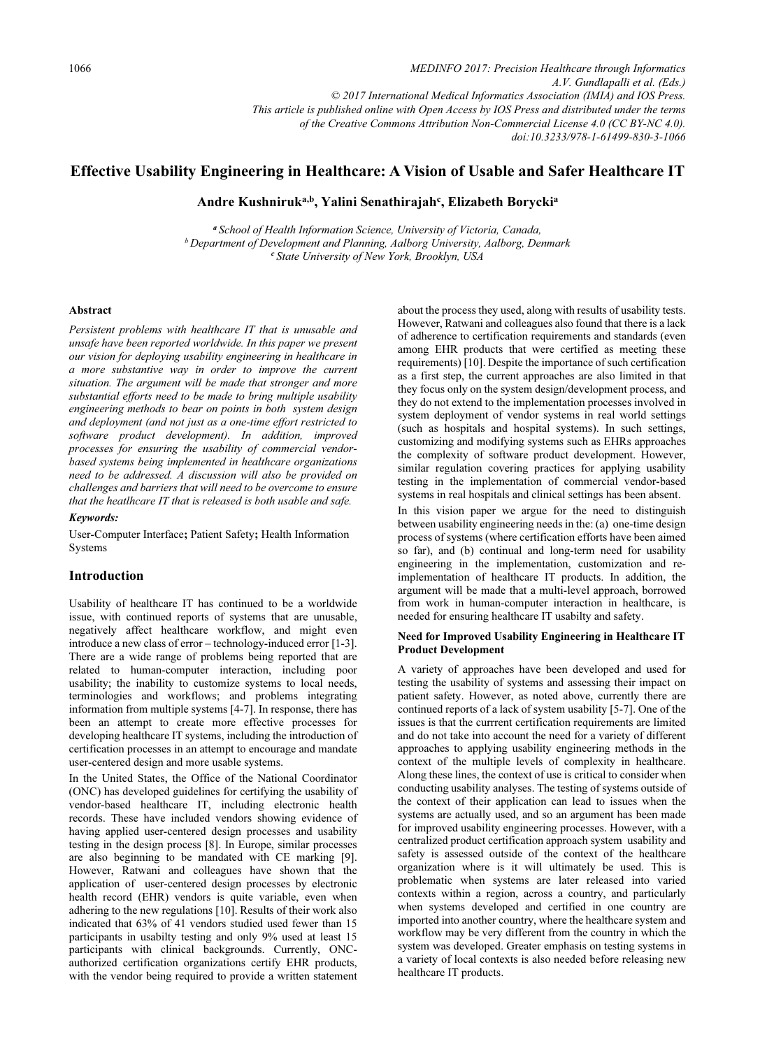*MEDINFO 2017: Precision Healthcare through Informatics A.V. Gundlapalli et al. (Eds.) © 2017 International Medical Informatics Association (IMIA) and IOS Press. This article is published online with Open Access by IOS Press and distributed under the terms of the Creative Commons Attribution Non-Commercial License 4.0 (CC BY-NC 4.0). doi:10.3233/978-1-61499-830-3-1066*

# Effective Usability Engineering in Healthcare: A Vision of Usable and Safer Healthcare IT

Andre Kushniruk<sup>a,b</sup>, Yalini Senathirajah<sup>c</sup>, Elizabeth Borycki<sup>a</sup>

<sup>a</sup> School of Health Information Science, University of Victoria, Canada,<br>b Department of Development and Planning, Aalborg University, Aalborg, Denmark<br><sup>c</sup> State University of New York, Brooklyn, USA

#### Abstract

Persistent problems with healthcare IT that is unusable and unsafe have been reported worldwide. In this paper we present our vision for deploying usability engineering in healthcare in a more substantive way in order to improve the current situation. The argument will be made that stronger and more substantial efforts need to be made to bring multiple usability engineering methods to bear on points in both system design and deployment (and not just as a one-time effort restricted to software product development). In addition, improved processes for ensuring the usability of commercial vendorbased systems being implemented in healthcare organizations need to be addressed. A discussion will also be provided on challenges and barriers that will need to be overcome to ensure that the heatlhcare IT that is released is both usable and safe.

### Keywords:

User-Computer Interface; Patient Safety; Health Information Systems

### Introduction

Usability of healthcare IT has continued to be a worldwide issue, with continued reports of systems that are unusable, negatively affect healthcare workflow, and might even introduce a new class of error – technology-induced error [1-3]. There are a wide range of problems being reported that are related to human-computer interaction, including poor usability; the inability to customize systems to local needs, terminologies and workflows; and problems integrating information from multiple systems [4-7]. In response, there has been an attempt to create more effective processes for developing healthcare IT systems, including the introduction of certification processes in an attempt to encourage and mandate user-centered design and more usable systems.

In the United States, the Office of the National Coordinator (ONC) has developed guidelines for certifying the usability of vendor-based healthcare IT, including electronic health records. These have included vendors showing evidence of having applied user-centered design processes and usability testing in the design process [8]. In Europe, similar processes are also beginning to be mandated with CE marking [9]. However, Ratwani and colleagues have shown that the application of user-centered design processes by electronic health record (EHR) vendors is quite variable, even when adhering to the new regulations [10]. Results of their work also indicated that 63% of 41 vendors studied used fewer than 15 participants in usabilty testing and only 9% used at least 15 participants with clinical backgrounds. Currently, ONCauthorized certification organizations certify EHR products, with the vendor being required to provide a written statement

about the process they used, along with results of usability tests. However, Ratwani and colleagues also found that there is a lack of adherence to certification requirements and standards (even among EHR products that were certified as meeting these requirements) [10]. Despite the importance of such certification as a first step, the current approaches are also limited in that they focus only on the system design/development process, and they do not extend to the implementation processes involved in system deployment of vendor systems in real world settings (such as hospitals and hospital systems). In such settings, customizing and modifying systems such as EHRs approaches the complexity of software product development. However, similar regulation covering practices for applying usability testing in the implementation of commercial vendor-based systems in real hospitals and clinical settings has been absent.

In this vision paper we argue for the need to distinguish between usability engineering needs in the: (a) one-time design process of systems (where certification efforts have been aimed so far), and (b) continual and long-term need for usability engineering in the implementation, customization and reimplementation of healthcare IT products. In addition, the argument will be made that a multi-level approach, borrowed from work in human-computer interaction in healthcare, is needed for ensuring healthcare IT usabilty and safety.

### Need for Improved Usability Engineering in Healthcare IT Product Development

A variety of approaches have been developed and used for testing the usability of systems and assessing their impact on patient safety. However, as noted above, currently there are continued reports of a lack of system usability [5-7]. One of the issues is that the currrent certification requirements are limited and do not take into account the need for a variety of different approaches to applying usability engineering methods in the context of the multiple levels of complexity in healthcare. Along these lines, the context of use is critical to consider when conducting usability analyses. The testing of systems outside of the context of their application can lead to issues when the systems are actually used, and so an argument has been made for improved usability engineering processes. However, with a centralized product certification approach system usability and safety is assessed outside of the context of the healthcare organization where is it will ultimately be used. This is problematic when systems are later released into varied contexts within a region, across a country, and particularly when systems developed and certified in one country are imported into another country, where the healthcare system and workflow may be very different from the country in which the system was developed. Greater emphasis on testing systems in a variety of local contexts is also needed before releasing new healthcare IT products.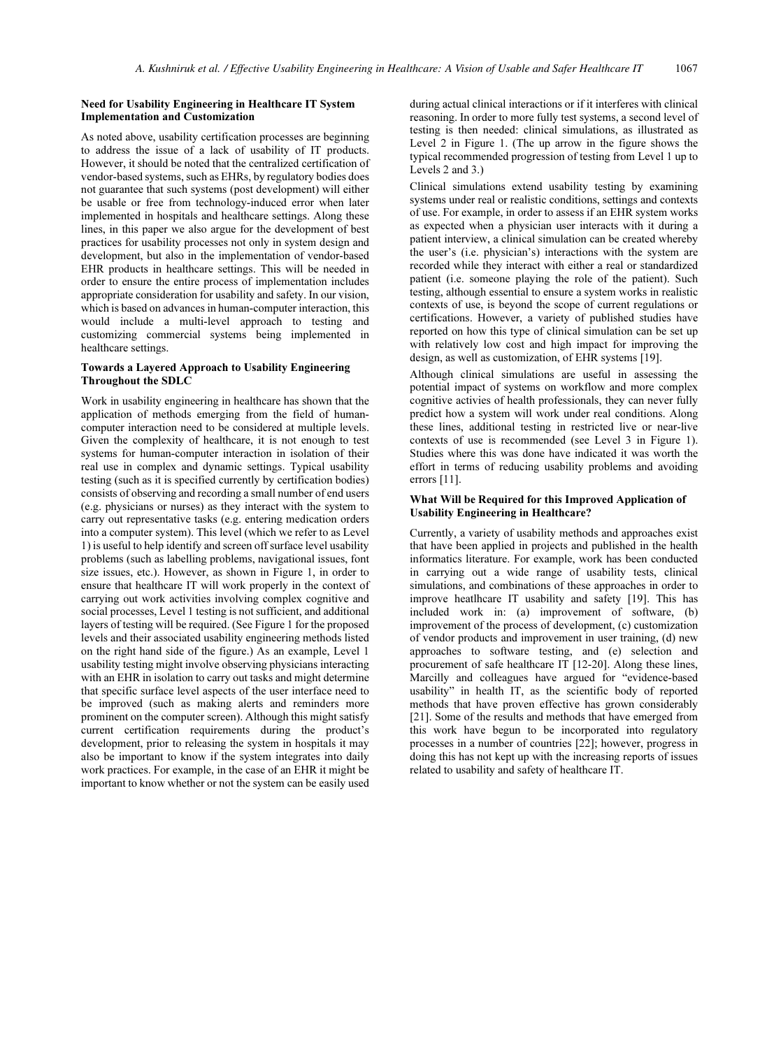### Need for Usability Engineering in Healthcare IT System Implementation and Customization

As noted above, usability certification processes are beginning to address the issue of a lack of usability of IT products. However, it should be noted that the centralized certification of vendor-based systems, such as EHRs, by regulatory bodies does not guarantee that such systems (post development) will either be usable or free from technology-induced error when later implemented in hospitals and healthcare settings. Along these lines, in this paper we also argue for the development of best practices for usability processes not only in system design and development, but also in the implementation of vendor-based EHR products in healthcare settings. This will be needed in order to ensure the entire process of implementation includes appropriate consideration for usability and safety. In our vision, which is based on advances in human-computer interaction, this would include a multi-level approach to testing and customizing commercial systems being implemented in healthcare settings.

## Towards a Layered Approach to Usability Engineering Throughout the SDLC

Work in usability engineering in healthcare has shown that the application of methods emerging from the field of humancomputer interaction need to be considered at multiple levels. Given the complexity of healthcare, it is not enough to test systems for human-computer interaction in isolation of their real use in complex and dynamic settings. Typical usability testing (such as it is specified currently by certification bodies) consists of observing and recording a small number of end users (e.g. physicians or nurses) as they interact with the system to carry out representative tasks (e.g. entering medication orders into a computer system). This level (which we refer to as Level 1) is useful to help identify and screen off surface level usability problems (such as labelling problems, navigational issues, font size issues, etc.). However, as shown in Figure 1, in order to ensure that healthcare IT will work properly in the context of carrying out work activities involving complex cognitive and social processes, Level 1 testing is not sufficient, and additional layers of testing will be required. (See Figure 1 for the proposed levels and their associated usability engineering methods listed on the right hand side of the figure.) As an example, Level 1 usability testing might involve observing physicians interacting with an EHR in isolation to carry out tasks and might determine that specific surface level aspects of the user interface need to be improved (such as making alerts and reminders more prominent on the computer screen). Although this might satisfy current certification requirements during the product's development, prior to releasing the system in hospitals it may also be important to know if the system integrates into daily work practices. For example, in the case of an EHR it might be important to know whether or not the system can be easily used

during actual clinical interactions or if it interferes with clinical reasoning. In order to more fully test systems, a second level of testing is then needed: clinical simulations, as illustrated as Level 2 in Figure 1. (The up arrow in the figure shows the typical recommended progression of testing from Level 1 up to Levels 2 and 3.)

Clinical simulations extend usability testing by examining systems under real or realistic conditions, settings and contexts of use. For example, in order to assess if an EHR system works as expected when a physician user interacts with it during a patient interview, a clinical simulation can be created whereby the user's (i.e. physician's) interactions with the system are recorded while they interact with either a real or standardized patient (i.e. someone playing the role of the patient). Such testing, although essential to ensure a system works in realistic contexts of use, is beyond the scope of current regulations or certifications. However, a variety of published studies have reported on how this type of clinical simulation can be set up with relatively low cost and high impact for improving the design, as well as customization, of EHR systems [19].

Although clinical simulations are useful in assessing the potential impact of systems on workflow and more complex cognitive activies of health professionals, they can never fully predict how a system will work under real conditions. Along these lines, additional testing in restricted live or near-live contexts of use is recommended (see Level 3 in Figure 1). Studies where this was done have indicated it was worth the effort in terms of reducing usability problems and avoiding errors [11].

## What Will be Required for this Improved Application of Usability Engineering in Healthcare?

Currently, a variety of usability methods and approaches exist that have been applied in projects and published in the health informatics literature. For example, work has been conducted in carrying out a wide range of usability tests, clinical simulations, and combinations of these approaches in order to improve heatlhcare IT usability and safety [19]. This has included work in: (a) improvement of software, (b) improvement of the process of development, (c) customization of vendor products and improvement in user training, (d) new approaches to software testing, and (e) selection and procurement of safe healthcare IT [12-20]. Along these lines, Marcilly and colleagues have argued for "evidence-based usability" in health IT, as the scientific body of reported methods that have proven effective has grown considerably [21]. Some of the results and methods that have emerged from this work have begun to be incorporated into regulatory processes in a number of countries [22]; however, progress in doing this has not kept up with the increasing reports of issues related to usability and safety of healthcare IT.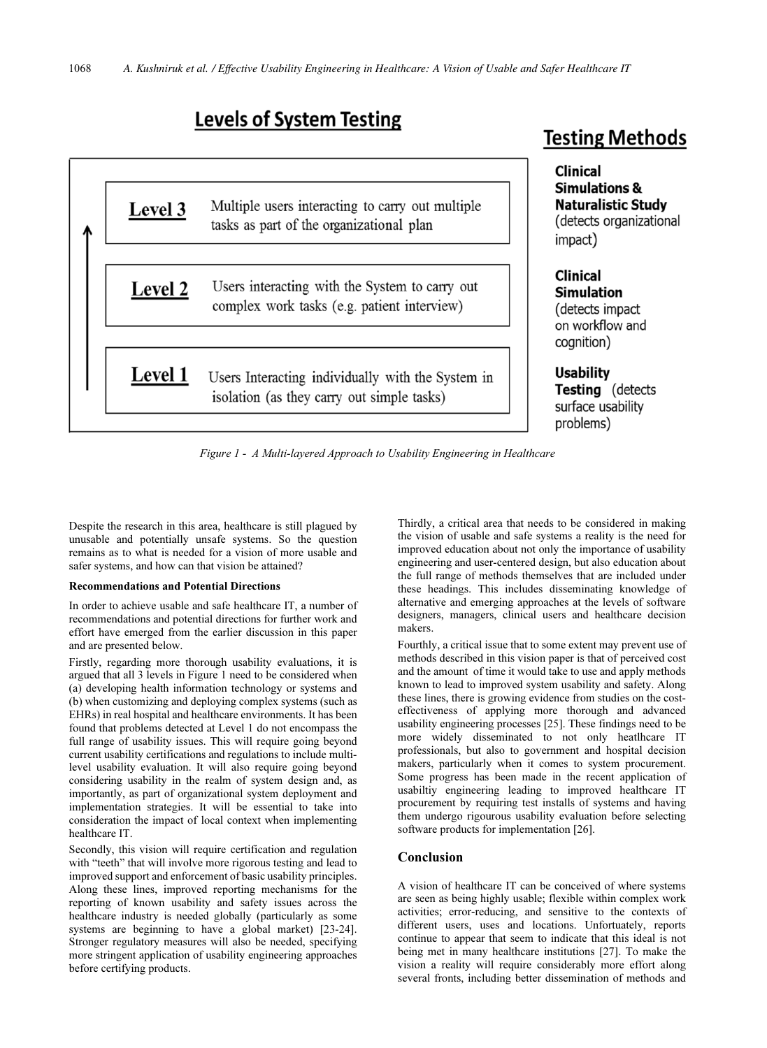# **Levels of System Testing**



# **Testing Methods**

**Clinical Simulations & Naturalistic Study** (detects organizational impact)

# **Clinical Simulation** (detects impact)

on workflow and cognition)

**Usability Testing** (detects surface usability problems)

Figure 1 - A Multi-layered Approach to Usability Engineering in Healthcare

Despite the research in this area, healthcare is still plagued by unusable and potentially unsafe systems. So the question remains as to what is needed for a vision of more usable and safer systems, and how can that vision be attained?

### Recommendations and Potential Directions

In order to achieve usable and safe healthcare IT, a number of recommendations and potential directions for further work and effort have emerged from the earlier discussion in this paper and are presented below.

Firstly, regarding more thorough usability evaluations, it is argued that all 3 levels in Figure 1 need to be considered when (a) developing health information technology or systems and (b) when customizing and deploying complex systems (such as EHRs) in real hospital and healthcare environments. It has been found that problems detected at Level 1 do not encompass the full range of usability issues. This will require going beyond current usability certifications and regulations to include multilevel usability evaluation. It will also require going beyond considering usability in the realm of system design and, as importantly, as part of organizational system deployment and implementation strategies. It will be essential to take into consideration the impact of local context when implementing healthcare IT.

Secondly, this vision will require certification and regulation with "teeth" that will involve more rigorous testing and lead to improved support and enforcement of basic usability principles. Along these lines, improved reporting mechanisms for the reporting of known usability and safety issues across the healthcare industry is needed globally (particularly as some systems are beginning to have a global market) [23-24]. Stronger regulatory measures will also be needed, specifying more stringent application of usability engineering approaches before certifying products.

Thirdly, a critical area that needs to be considered in making the vision of usable and safe systems a reality is the need for improved education about not only the importance of usability engineering and user-centered design, but also education about the full range of methods themselves that are included under these headings. This includes disseminating knowledge of alternative and emerging approaches at the levels of software designers, managers, clinical users and healthcare decision makers.

Fourthly, a critical issue that to some extent may prevent use of methods described in this vision paper is that of perceived cost and the amount of time it would take to use and apply methods known to lead to improved system usability and safety. Along these lines, there is growing evidence from studies on the costeffectiveness of applying more thorough and advanced usability engineering processes [25]. These findings need to be more widely disseminated to not only heatlhcare IT professionals, but also to government and hospital decision makers, particularly when it comes to system procurement. Some progress has been made in the recent application of usabiltiy engineering leading to improved healthcare IT procurement by requiring test installs of systems and having them undergo rigourous usability evaluation before selecting software products for implementation [26].

### Conclusion

A vision of healthcare IT can be conceived of where systems are seen as being highly usable; flexible within complex work activities; error-reducing, and sensitive to the contexts of different users, uses and locations. Unfortuately, reports continue to appear that seem to indicate that this ideal is not being met in many healthcare institutions [27]. To make the vision a reality will require considerably more effort along several fronts, including better dissemination of methods and